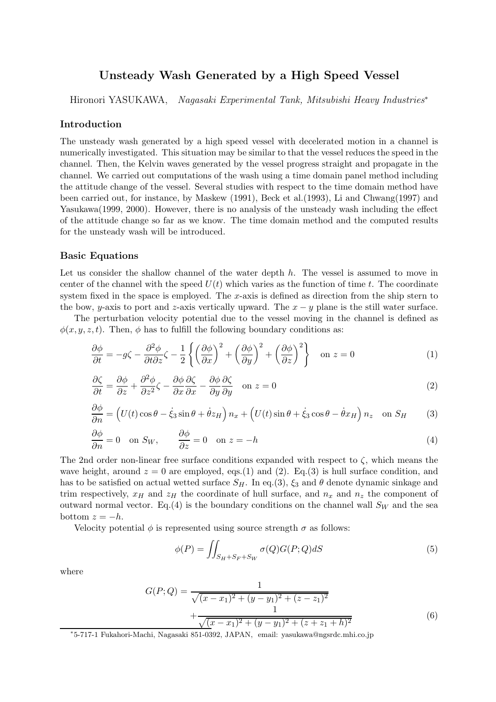# **Unsteady Wash Generated by a High Speed Vessel**

Hironori YASUKAWA, *Nagasaki Experimental Tank, Mitsubishi Heavy Industries*<sup>∗</sup>

## **Introduction**

The unsteady wash generated by a high speed vessel with decelerated motion in a channel is numerically investigated. This situation may be similar to that the vessel reduces the speed in the channel. Then, the Kelvin waves generated by the vessel progress straight and propagate in the channel. We carried out computations of the wash using a time domain panel method including the attitude change of the vessel. Several studies with respect to the time domain method have been carried out, for instance, by Maskew (1991), Beck et al.(1993), Li and Chwang(1997) and Yasukawa(1999, 2000). However, there is no analysis of the unsteady wash including the effect of the attitude change so far as we know. The time domain method and the computed results for the unsteady wash will be introduced.

#### **Basic Equations**

Let us consider the shallow channel of the water depth h. The vessel is assumed to move in center of the channel with the speed  $U(t)$  which varies as the function of time t. The coordinate system fixed in the space is employed. The  $x$ -axis is defined as direction from the ship stern to the bow, y-axis to port and z-axis vertically upward. The  $x - y$  plane is the still water surface.

The perturbation velocity potential due to the vessel moving in the channel is defined as  $\phi(x, y, z, t)$ . Then,  $\phi$  has to fulfill the following boundary conditions as:

$$
\frac{\partial \phi}{\partial t} = -g\zeta - \frac{\partial^2 \phi}{\partial t \partial z} \zeta - \frac{1}{2} \left\{ \left( \frac{\partial \phi}{\partial x} \right)^2 + \left( \frac{\partial \phi}{\partial y} \right)^2 + \left( \frac{\partial \phi}{\partial z} \right)^2 \right\} \quad \text{on } z = 0 \tag{1}
$$

$$
\frac{\partial \zeta}{\partial t} = \frac{\partial \phi}{\partial z} + \frac{\partial^2 \phi}{\partial z^2} \zeta - \frac{\partial \phi}{\partial x} \frac{\partial \zeta}{\partial x} - \frac{\partial \phi}{\partial y} \frac{\partial \zeta}{\partial y} \quad \text{on } z = 0 \tag{2}
$$

$$
\frac{\partial \phi}{\partial n} = \left( U(t) \cos \theta - \dot{\xi}_3 \sin \theta + \dot{\theta} z_H \right) n_x + \left( U(t) \sin \theta + \dot{\xi}_3 \cos \theta - \dot{\theta} x_H \right) n_z \quad \text{on } S_H \tag{3}
$$

$$
\frac{\partial \phi}{\partial n} = 0 \quad \text{on } S_W, \qquad \frac{\partial \phi}{\partial z} = 0 \quad \text{on } z = -h \tag{4}
$$

The 2nd order non-linear free surface conditions expanded with respect to  $\zeta$ , which means the wave height, around  $z = 0$  are employed, eqs.(1) and (2). Eq.(3) is hull surface condition, and has to be satisfied on actual wetted surface  $S_H$ . In eq.(3),  $\xi_3$  and  $\theta$  denote dynamic sinkage and trim respectively,  $x_H$  and  $z_H$  the coordinate of hull surface, and  $n_x$  and  $n_z$  the component of outward normal vector. Eq.(4) is the boundary conditions on the channel wall  $S_W$  and the sea bottom  $z = -h$ .

Velocity potential  $\phi$  is represented using source strength  $\sigma$  as follows:

$$
\phi(P) = \iint_{S_H + S_F + S_W} \sigma(Q) G(P; Q) dS \tag{5}
$$

where

$$
G(P; Q) = \frac{1}{\sqrt{(x - x_1)^2 + (y - y_1)^2 + (z - z_1)^2}}
$$
  
+ 
$$
\frac{1}{\sqrt{(x - x_1)^2 + (y - y_1)^2 + (z + z_1 + h)^2}}
$$
(6)

∗5-717-1 Fukahori-Machi, Nagasaki 851-0392, JAPAN, email: yasukawa@ngsrdc.mhi.co.jp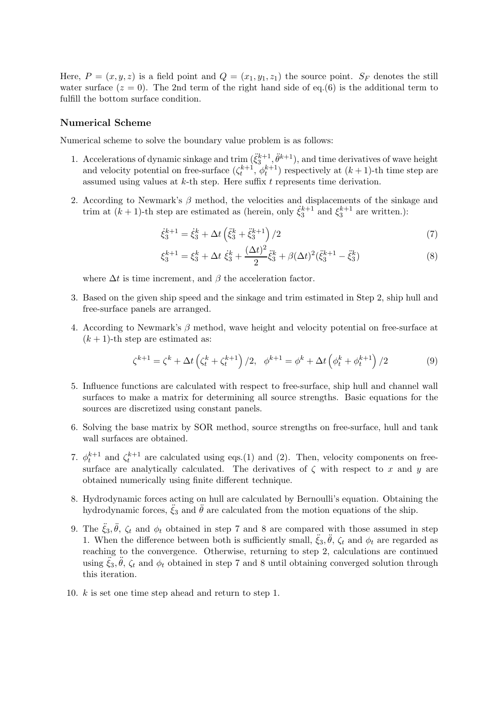Here,  $P = (x, y, z)$  is a field point and  $Q = (x_1, y_1, z_1)$  the source point.  $S_F$  denotes the still water surface  $(z = 0)$ . The 2nd term of the right hand side of eq.(6) is the additional term to fulfill the bottom surface condition.

### **Numerical Scheme**

Numerical scheme to solve the boundary value problem is as follows:

- 1. Accelerations of dynamic sinkage and trim  $(\ddot{\xi}_3^{k+1}, \ddot{\theta}^{k+1})$ , and time derivatives of wave height and velocity potential on free-surface  $(\zeta_t^{k+1}, \phi_t^{k+1})$  respectively at  $(k+1)$ -th time step are assumed using values at  $k$ -th step. Here suffix  $t$  represents time derivation.
- 2. According to Newmark's  $\beta$  method, the velocities and displacements of the sinkage and trim at  $(k + 1)$ -th step are estimated as (herein, only  $\dot{\xi}_3^{k+1}$  and  $\xi_3^{k+1}$  are written.):

$$
\dot{\xi}_3^{k+1} = \dot{\xi}_3^k + \Delta t \left( \ddot{\xi}_3^k + \ddot{\xi}_3^{k+1} \right) / 2 \tag{7}
$$

$$
\xi_3^{k+1} = \xi_3^k + \Delta t \dot{\xi}_3^k + \frac{(\Delta t)^2}{2} \ddot{\xi}_3^k + \beta (\Delta t)^2 (\ddot{\xi}_3^{k+1} - \ddot{\xi}_3^k)
$$
 (8)

where  $\Delta t$  is time increment, and  $\beta$  the acceleration factor.

- 3. Based on the given ship speed and the sinkage and trim estimated in Step 2, ship hull and free-surface panels are arranged.
- 4. According to Newmark's  $\beta$  method, wave height and velocity potential on free-surface at  $(k+1)$ -th step are estimated as:

$$
\zeta^{k+1} = \zeta^k + \Delta t \left( \zeta^k_t + \zeta^{k+1}_t \right) / 2, \quad \phi^{k+1} = \phi^k + \Delta t \left( \phi^k_t + \phi^{k+1}_t \right) / 2 \tag{9}
$$

- 5. Influence functions are calculated with respect to free-surface, ship hull and channel wall surfaces to make a matrix for determining all source strengths. Basic equations for the sources are discretized using constant panels.
- 6. Solving the base matrix by SOR method, source strengths on free-surface, hull and tank wall surfaces are obtained.
- 7.  $\phi_t^{k+1}$  and  $\zeta_t^{k+1}$  are calculated using eqs.(1) and (2). Then, velocity components on freesurface are analytically calculated. The derivatives of  $\zeta$  with respect to x and y are obtained numerically using finite different technique.
- 8. Hydrodynamic forces acting on hull are calculated by Bernoulli's equation. Obtaining the hydrodynamic forces,  $\ddot{\xi}_3$  and  $\ddot{\theta}$  are calculated from the motion equations of the ship.
- 9. The  $\ddot{\xi}_3$ ,  $\ddot{\theta}$ ,  $\zeta_t$  and  $\phi_t$  obtained in step 7 and 8 are compared with those assumed in step 1. When the difference between both is sufficiently small,  $\xi_3$ ,  $\hat{\theta}$ ,  $\zeta_t$  and  $\phi_t$  are regarded as reaching to the convergence. Otherwise, returning to step 2, calculations are continued using  $\ddot{\xi}_3, \ddot{\theta}, \zeta_t$  and  $\phi_t$  obtained in step 7 and 8 until obtaining converged solution through this iteration.
- 10. k is set one time step ahead and return to step 1.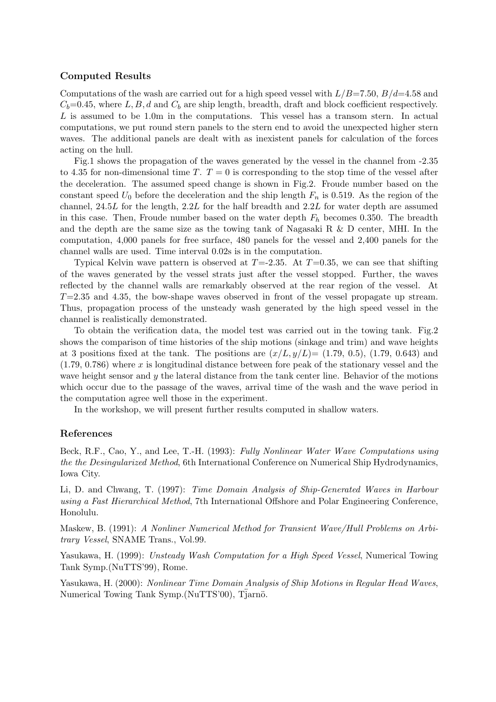# **Computed Results**

Computations of the wash are carried out for a high speed vessel with  $L/B=7.50, B/d=4.58$  and  $C_b$ =0.45, where L, B, d and  $C_b$  are ship length, breadth, draft and block coefficient respectively. L is assumed to be 1.0m in the computations. This vessel has a transom stern. In actual computations, we put round stern panels to the stern end to avoid the unexpected higher stern waves. The additional panels are dealt with as inexistent panels for calculation of the forces acting on the hull.

Fig.1 shows the propagation of the waves generated by the vessel in the channel from -2.35 to 4.35 for non-dimensional time T.  $T = 0$  is corresponding to the stop time of the vessel after the deceleration. The assumed speed change is shown in Fig.2. Froude number based on the constant speed  $U_0$  before the deceleration and the ship length  $F_n$  is 0.519. As the region of the channel, 24.5L for the length, 2.2L for the half breadth and 2.2L for water depth are assumed in this case. Then, Froude number based on the water depth  $F_h$  becomes 0.350. The breadth and the depth are the same size as the towing tank of Nagasaki R & D center, MHI. In the computation, 4,000 panels for free surface, 480 panels for the vessel and 2,400 panels for the channel walls are used. Time interval 0.02s is in the computation.

Typical Kelvin wave pattern is observed at  $T=2.35$ . At  $T=0.35$ , we can see that shifting of the waves generated by the vessel strats just after the vessel stopped. Further, the waves reflected by the channel walls are remarkably observed at the rear region of the vessel. At  $T=2.35$  and 4.35, the bow-shape waves observed in front of the vessel propagate up stream. Thus, propagation process of the unsteady wash generated by the high speed vessel in the channel is realistically demonstrated.

To obtain the verification data, the model test was carried out in the towing tank. Fig.2 shows the comparison of time histories of the ship motions (sinkage and trim) and wave heights at 3 positions fixed at the tank. The positions are  $(x/L, y/L) = (1.79, 0.5)$ ,  $(1.79, 0.643)$  and  $(1.79, 0.786)$  where x is longitudinal distance between fore peak of the stationary vessel and the wave height sensor and  $y$  the lateral distance from the tank center line. Behavior of the motions which occur due to the passage of the waves, arrival time of the wash and the wave period in the computation agree well those in the experiment.

In the workshop, we will present further results computed in shallow waters.

#### **References**

Beck, R.F., Cao, Y., and Lee, T.-H. (1993): *Fully Nonlinear Water Wave Computations using the the Desingularized Method*, 6th International Conference on Numerical Ship Hydrodynamics, Iowa City.

Li, D. and Chwang, T. (1997): *Time Domain Analysis of Ship-Generated Waves in Harbour using a Fast Hierarchical Method*, 7th International Offshore and Polar Engineering Conference, Honolulu.

Maskew, B. (1991): *A Nonliner Numerical Method for Transient Wave/Hull Problems on Arbitrary Vessel*, SNAME Trans., Vol.99.

Yasukawa, H. (1999): *Unsteady Wash Computation for a High Speed Vessel*, Numerical Towing Tank Symp.(NuTTS'99), Rome.

Yasukawa, H. (2000): *Nonlinear Time Domain Analysis of Ship Motions in Regular Head Waves*, Numerical Towing Tank Symp.(NuTTS'00), Tjarnö.